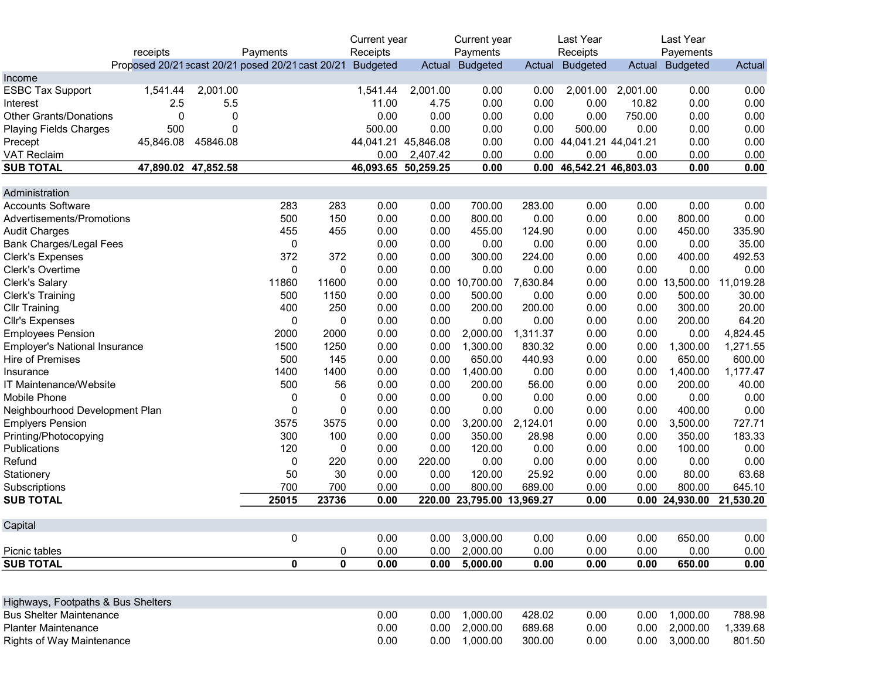|                                      |           |                     |                                                   |        | Current year        |              | Current year               |              | Last Year                |              | Last Year       |              |
|--------------------------------------|-----------|---------------------|---------------------------------------------------|--------|---------------------|--------------|----------------------------|--------------|--------------------------|--------------|-----------------|--------------|
|                                      | receipts  |                     | Payments                                          |        | Receipts            |              | Payments                   |              | Receipts                 |              | Payements       |              |
|                                      |           |                     | Proposed 20/21 ecast 20/21 posed 20/21 cast 20/21 |        | <b>Budgeted</b>     |              | Actual Budgeted            | Actual       | <b>Budgeted</b>          | Actual       | <b>Budgeted</b> | Actual       |
| Income                               |           |                     |                                                   |        |                     |              |                            |              |                          |              |                 |              |
| <b>ESBC Tax Support</b>              | 1,541.44  | 2,001.00            |                                                   |        | 1,541.44            | 2,001.00     | 0.00                       | 0.00         | 2,001.00                 | 2,001.00     | 0.00            | 0.00         |
| Interest                             | 2.5       | 5.5                 |                                                   |        | 11.00               | 4.75         | 0.00                       | 0.00         | 0.00                     | 10.82        | 0.00            | 0.00         |
| <b>Other Grants/Donations</b>        | 0         | 0                   |                                                   |        | 0.00                | 0.00         | 0.00                       | 0.00         | 0.00                     | 750.00       | 0.00            | 0.00         |
| <b>Playing Fields Charges</b>        | 500       | 0                   |                                                   |        | 500.00              | 0.00         | 0.00                       | 0.00         | 500.00                   | 0.00         | 0.00            | 0.00         |
| Precept                              | 45,846.08 | 45846.08            |                                                   |        | 44,041.21           | 45,846.08    | 0.00                       |              | 0.00 44,041.21 44,041.21 |              | 0.00            | 0.00         |
| <b>VAT Reclaim</b>                   |           |                     |                                                   |        | 0.00                | 2,407.42     | 0.00                       | 0.00         | 0.00                     | 0.00         | 0.00            | 0.00         |
| <b>SUB TOTAL</b>                     |           | 47,890.02 47,852.58 |                                                   |        | 46,093.65 50,259.25 |              | 0.00                       | 0.00         | 46,542.21 46,803.03      |              | 0.00            | 0.00         |
|                                      |           |                     |                                                   |        |                     |              |                            |              |                          |              |                 |              |
| Administration                       |           |                     |                                                   |        |                     |              |                            |              |                          |              |                 |              |
| <b>Accounts Software</b>             |           |                     | 283                                               | 283    | 0.00                | 0.00         | 700.00                     | 283.00       | 0.00                     | 0.00         | 0.00            | 0.00         |
| Advertisements/Promotions            |           |                     | 500                                               | 150    | 0.00                | 0.00         | 800.00                     | 0.00         | 0.00                     | 0.00         | 800.00          | 0.00         |
| <b>Audit Charges</b>                 |           |                     | 455                                               | 455    | 0.00                | 0.00         | 455.00                     | 124.90       | 0.00                     | 0.00         | 450.00          | 335.90       |
| <b>Bank Charges/Legal Fees</b>       |           |                     | 0                                                 |        | 0.00                | 0.00         | 0.00                       | 0.00         | 0.00                     | 0.00         | 0.00            | 35.00        |
| <b>Clerk's Expenses</b>              |           |                     | 372                                               | 372    | 0.00                | 0.00         | 300.00                     | 224.00       | 0.00                     | 0.00         | 400.00          | 492.53       |
| Clerk's Overtime                     |           |                     | 0                                                 | 0      | 0.00                | 0.00         | 0.00                       | 0.00         | 0.00                     | 0.00         | 0.00            | 0.00         |
| Clerk's Salary                       |           |                     | 11860                                             | 11600  | 0.00                | 0.00         | 10,700.00                  | 7,630.84     | 0.00                     | 0.00         | 13,500.00       | 11,019.28    |
| <b>Clerk's Training</b>              |           |                     | 500                                               | 1150   | 0.00                | 0.00         | 500.00                     | 0.00         | 0.00                     | 0.00         | 500.00          | 30.00        |
| <b>Cllr Training</b>                 |           |                     | 400                                               | 250    | 0.00                | 0.00         | 200.00                     | 200.00       | 0.00                     | 0.00         | 300.00          | 20.00        |
| Cllr's Expenses                      |           |                     | 0                                                 | 0      | 0.00                | 0.00         | 0.00                       | 0.00         | 0.00                     | 0.00         | 200.00          | 64.20        |
| <b>Employees Pension</b>             |           |                     | 2000                                              | 2000   | 0.00                | 0.00         | 2,000.00                   | 1,311.37     | 0.00                     | 0.00         | 0.00            | 4,824.45     |
| <b>Employer's National Insurance</b> |           |                     | 1500                                              | 1250   | 0.00                | 0.00         | 1,300.00                   | 830.32       | 0.00                     | 0.00         | 1,300.00        | 1,271.55     |
| <b>Hire of Premises</b>              |           |                     | 500                                               | 145    | 0.00                | 0.00         | 650.00                     | 440.93       | 0.00                     | 0.00         | 650.00          | 600.00       |
| Insurance                            |           |                     | 1400                                              | 1400   | 0.00                | 0.00         | 1,400.00                   | 0.00         | 0.00                     | 0.00         | 1,400.00        | 1,177.47     |
| IT Maintenance/Website               |           |                     | 500                                               | 56     | 0.00                | 0.00         | 200.00                     | 56.00        | 0.00                     | 0.00         | 200.00          | 40.00        |
|                                      |           |                     |                                                   |        |                     |              | 0.00                       |              | 0.00                     |              | 0.00            | 0.00         |
| Mobile Phone                         |           |                     | $\pmb{0}$                                         | 0      | 0.00                | 0.00         |                            | 0.00         |                          | 0.00         |                 |              |
| Neighbourhood Development Plan       |           |                     | 0                                                 | 0      | 0.00                | 0.00         | 0.00                       | 0.00         | 0.00                     | 0.00         | 400.00          | 0.00         |
| <b>Emplyers Pension</b>              |           |                     | 3575                                              | 3575   | 0.00                | 0.00         | 3,200.00                   | 2,124.01     | 0.00                     | 0.00         | 3,500.00        | 727.71       |
| Printing/Photocopying                |           |                     | 300                                               | 100    | 0.00                | 0.00         | 350.00                     | 28.98        | 0.00                     | 0.00         | 350.00          | 183.33       |
| Publications                         |           |                     | 120                                               | 0      | 0.00                | 0.00         | 120.00                     | 0.00         | 0.00                     | 0.00         | 100.00          | 0.00         |
| Refund                               |           |                     | 0                                                 | 220    | 0.00                | 220.00       | 0.00                       | 0.00         | 0.00                     | 0.00         | 0.00            | 0.00         |
| Stationery                           |           |                     | 50                                                | 30     | 0.00                | 0.00         | 120.00                     | 25.92        | 0.00                     | 0.00         | 80.00           | 63.68        |
| Subscriptions                        |           |                     | 700                                               | 700    | 0.00                | 0.00         | 800.00                     | 689.00       | 0.00                     | 0.00         | 800.00          | 645.10       |
| <b>SUB TOTAL</b>                     |           |                     | 25015                                             | 23736  | 0.00                |              | 220.00 23,795.00 13,969.27 |              | 0.00                     |              | 0.00 24,930.00  | 21,530.20    |
|                                      |           |                     |                                                   |        |                     |              |                            |              |                          |              |                 |              |
| Capital                              |           |                     |                                                   |        |                     |              |                            |              |                          |              |                 |              |
| Picnic tables                        |           |                     | $\pmb{0}$                                         |        | 0.00<br>0.00        | 0.00<br>0.00 | 3,000.00<br>2,000.00       | 0.00<br>0.00 | 0.00<br>0.00             | 0.00<br>0.00 | 650.00<br>0.00  | 0.00         |
| <b>SUB TOTAL</b>                     |           |                     | 0                                                 | 0<br>0 | 0.00                | 0.00         | 5,000.00                   | 0.00         | 0.00                     | 0.00         | 650.00          | 0.00<br>0.00 |
|                                      |           |                     |                                                   |        |                     |              |                            |              |                          |              |                 |              |
|                                      |           |                     |                                                   |        |                     |              |                            |              |                          |              |                 |              |
| Highways, Footpaths & Bus Shelters   |           |                     |                                                   |        |                     |              |                            |              |                          |              |                 |              |
| <b>Bus Shelter Maintenance</b>       |           |                     |                                                   |        | 0.00                | 0.00         | 1,000.00                   | 428.02       | 0.00                     | 0.00         | 1,000.00        | 788.98       |
| <b>Planter Maintenance</b>           |           |                     |                                                   |        | 0.00                | 0.00         | 2,000.00                   | 689.68       | 0.00                     | 0.00         | 2,000.00        | 1,339.68     |
| <b>Rights of Way Maintenance</b>     |           |                     |                                                   |        | 0.00                | 0.00         | 1,000.00                   | 300.00       | 0.00                     | 0.00         | 3,000.00        | 801.50       |
|                                      |           |                     |                                                   |        |                     |              |                            |              |                          |              |                 |              |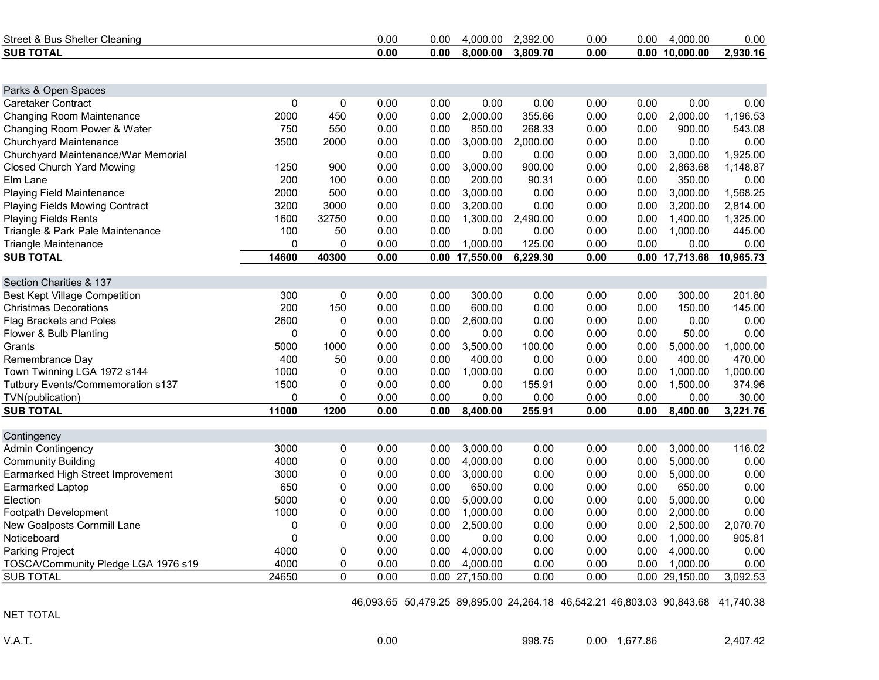| Street & Bus Shelter Cleaning         |           |           | 0.00 | 0.00 | 4,000.00         | 2,392.00 | 0.00 | 0.00 | 4,000.00       | 0.00      |
|---------------------------------------|-----------|-----------|------|------|------------------|----------|------|------|----------------|-----------|
| <b>SUB TOTAL</b>                      |           |           | 0.00 | 0.00 | 8,000.00         | 3,809.70 | 0.00 |      | 0.00 10,000.00 | 2,930.16  |
|                                       |           |           |      |      |                  |          |      |      |                |           |
| Parks & Open Spaces                   |           |           |      |      |                  |          |      |      |                |           |
| Caretaker Contract                    | $\pmb{0}$ | 0         | 0.00 | 0.00 | 0.00             | 0.00     | 0.00 | 0.00 | 0.00           | 0.00      |
| <b>Changing Room Maintenance</b>      | 2000      | 450       | 0.00 | 0.00 | 2,000.00         | 355.66   | 0.00 | 0.00 | 2,000.00       | 1,196.53  |
| Changing Room Power & Water           | 750       | 550       | 0.00 | 0.00 | 850.00           | 268.33   | 0.00 | 0.00 | 900.00         | 543.08    |
| Churchyard Maintenance                | 3500      | 2000      | 0.00 | 0.00 | 3,000.00         | 2,000.00 | 0.00 | 0.00 | 0.00           | 0.00      |
| Churchyard Maintenance/War Memorial   |           |           | 0.00 | 0.00 | 0.00             | 0.00     | 0.00 | 0.00 | 3,000.00       | 1,925.00  |
| <b>Closed Church Yard Mowing</b>      | 1250      | 900       | 0.00 | 0.00 | 3,000.00         | 900.00   | 0.00 | 0.00 | 2,863.68       | 1,148.87  |
| Elm Lane                              | 200       | 100       | 0.00 | 0.00 | 200.00           | 90.31    | 0.00 | 0.00 | 350.00         | 0.00      |
| <b>Playing Field Maintenance</b>      | 2000      | 500       | 0.00 | 0.00 | 3,000.00         | 0.00     | 0.00 | 0.00 | 3,000.00       | 1,568.25  |
| <b>Playing Fields Mowing Contract</b> | 3200      | 3000      | 0.00 | 0.00 | 3,200.00         | 0.00     | 0.00 | 0.00 | 3,200.00       | 2,814.00  |
| <b>Playing Fields Rents</b>           | 1600      | 32750     | 0.00 | 0.00 | 1,300.00         | 2,490.00 | 0.00 | 0.00 | 1,400.00       | 1,325.00  |
| Triangle & Park Pale Maintenance      | 100       | 50        | 0.00 | 0.00 | 0.00             | 0.00     | 0.00 | 0.00 | 1,000.00       | 445.00    |
| <b>Triangle Maintenance</b>           | 0         | 0         | 0.00 | 0.00 | 1,000.00         | 125.00   | 0.00 | 0.00 | 0.00           | 0.00      |
| <b>SUB TOTAL</b>                      | 14600     | 40300     | 0.00 |      | 0.00 17,550.00   | 6,229.30 | 0.00 |      | 0.00 17,713.68 | 10,965.73 |
| Section Charities & 137               |           |           |      |      |                  |          |      |      |                |           |
| <b>Best Kept Village Competition</b>  | 300       | $\pmb{0}$ | 0.00 | 0.00 | 300.00           | 0.00     | 0.00 | 0.00 | 300.00         | 201.80    |
| <b>Christmas Decorations</b>          | 200       | 150       | 0.00 | 0.00 | 600.00           | 0.00     | 0.00 | 0.00 | 150.00         | 145.00    |
| <b>Flag Brackets and Poles</b>        | 2600      | 0         | 0.00 | 0.00 | 2,600.00         | 0.00     | 0.00 | 0.00 | 0.00           | 0.00      |
| Flower & Bulb Planting                | 0         | 0         | 0.00 | 0.00 | 0.00             | 0.00     | 0.00 | 0.00 | 50.00          | 0.00      |
| Grants                                | 5000      | 1000      | 0.00 | 0.00 | 3,500.00         | 100.00   | 0.00 | 0.00 | 5,000.00       | 1,000.00  |
| Remembrance Day                       | 400       | 50        | 0.00 | 0.00 | 400.00           | 0.00     | 0.00 | 0.00 | 400.00         | 470.00    |
| Town Twinning LGA 1972 s144           | 1000      | 0         | 0.00 | 0.00 | 1,000.00         | 0.00     | 0.00 | 0.00 | 1,000.00       | 1,000.00  |
| Tutbury Events/Commemoration s137     | 1500      | 0         | 0.00 | 0.00 | 0.00             | 155.91   | 0.00 | 0.00 | 1,500.00       | 374.96    |
| TVN(publication)                      | 0         | 0         | 0.00 | 0.00 | 0.00             | 0.00     | 0.00 | 0.00 | 0.00           | 30.00     |
| <b>SUB TOTAL</b>                      | 11000     | 1200      | 0.00 | 0.00 | 8,400.00         | 255.91   | 0.00 | 0.00 | 8,400.00       | 3,221.76  |
| Contingency                           |           |           |      |      |                  |          |      |      |                |           |
| <b>Admin Contingency</b>              | 3000      | 0         | 0.00 | 0.00 | 3,000.00         | 0.00     | 0.00 | 0.00 | 3,000.00       | 116.02    |
| <b>Community Building</b>             | 4000      | 0         | 0.00 | 0.00 | 4,000.00         | 0.00     | 0.00 | 0.00 | 5,000.00       | 0.00      |
| Earmarked High Street Improvement     | 3000      | 0         | 0.00 | 0.00 | 3,000.00         | 0.00     | 0.00 | 0.00 | 5,000.00       | 0.00      |
| Earmarked Laptop                      | 650       | 0         | 0.00 | 0.00 | 650.00           | 0.00     | 0.00 | 0.00 | 650.00         | 0.00      |
| Election                              | 5000      | 0         | 0.00 | 0.00 | 5,000.00         | 0.00     | 0.00 | 0.00 | 5,000.00       | 0.00      |
| Footpath Development                  | 1000      | 0         | 0.00 | 0.00 | 1,000.00         | 0.00     | 0.00 | 0.00 | 2,000.00       | 0.00      |
| New Goalposts Cornmill Lane           | 0         | 0         | 0.00 | 0.00 | 2,500.00         | 0.00     | 0.00 | 0.00 | 2,500.00       | 2,070.70  |
| Noticeboard                           | 0         |           | 0.00 | 0.00 | 0.00             | 0.00     | 0.00 | 0.00 | 1,000.00       | 905.81    |
| Parking Project                       | 4000      | 0         | 0.00 | 0.00 | 4,000.00         | 0.00     | 0.00 | 0.00 | 4,000.00       | 0.00      |
| TOSCA/Community Pledge LGA 1976 s19   | 4000      | 0         | 0.00 | 0.00 | 4,000.00         | 0.00     | 0.00 | 0.00 | 1,000.00       | 0.00      |
| <b>SUB TOTAL</b>                      | 24650     | 0         | 0.00 |      | $0.00$ 27,150.00 | 0.00     | 0.00 |      | 0.00 29,150.00 | 3,092.53  |
|                                       |           |           |      |      |                  |          |      |      |                |           |

46,093.65 50,479.25 89,895.00 24,264.18 46,542.21 46,803.03 90,843.68 41,740.38

NET TOTAL

V.A.T. 0.00 998.75 0.00 1,677.86 2,407.42